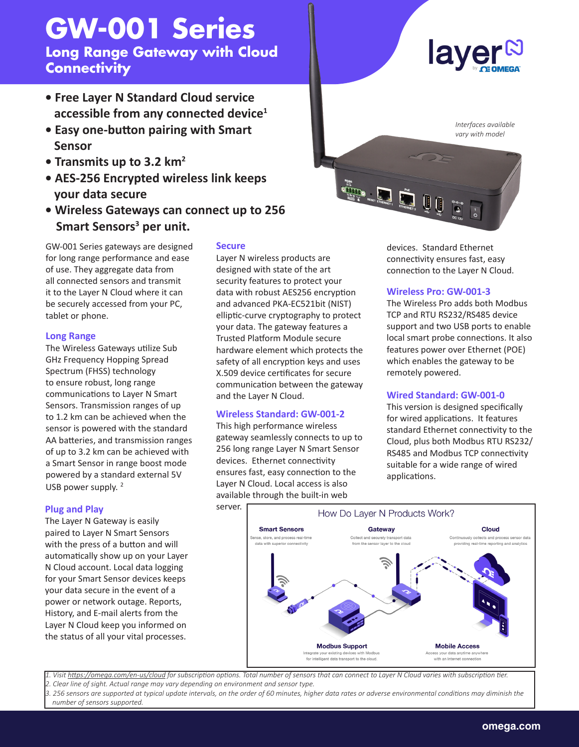# **GW-001 Series**

**Long Range Gateway with Cloud Connectivity**

- **Free Layer N Standard Cloud service accessible from any connected device1**
- **Easy one-button pairing with Smart Sensor**
- **Transmits up to 3.2 km2**
- **AES-256 Encrypted wireless link keeps your data secure**
- **Wireless Gateways can connect up to 256 Smart Sensors<sup>3</sup> per unit.**

GW-001 Series gateways are designed for long range performance and ease of use. They aggregate data from all connected sensors and transmit it to the Layer N Cloud where it can be securely accessed from your PC, tablet or phone.

#### **Long Range**

The Wireless Gateways utilize Sub GHz Frequency Hopping Spread Spectrum (FHSS) technology to ensure robust, long range communications to Layer N Smart Sensors. Transmission ranges of up to 1.2 km can be achieved when the sensor is powered with the standard AA batteries, and transmission ranges of up to 3.2 km can be achieved with a Smart Sensor in range boost mode powered by a standard external 5V USB power supply.  $2$ 

## **Plug and Play**

The Layer N Gateway is easily paired to Layer N Smart Sensors with the press of a button and will automatically show up on your Layer N Cloud account. Local data logging for your Smart Sensor devices keeps your data secure in the event of a power or network outage. Reports, History, and E-mail alerts from the Layer N Cloud keep you informed on the status of all your vital processes.

#### **Secure**

Layer N wireless products are designed with state of the art security features to protect your data with robust AES256 encryption and advanced PKA-EC521bit (NIST) elliptic-curve cryptography to protect your data. The gateway features a Trusted Platform Module secure hardware element which protects the safety of all encryption keys and uses X.509 device certificates for secure communication between the gateway and the Layer N Cloud.

## **Wireless Standard: GW-001-2**

This high performance wireless gateway seamlessly connects to up to 256 long range Layer N Smart Sensor devices. Ethernet connectivity ensures fast, easy connection to the Layer N Cloud. Local access is also available through the built-in web



devices. Standard Ethernet connectivity ensures fast, easy connection to the Layer N Cloud.

#### **Wireless Pro: GW-001-3**

The Wireless Pro adds both Modbus TCP and RTU RS232/RS485 device support and two USB ports to enable local smart probe connections. It also features power over Ethernet (POE) which enables the gateway to be remotely powered.

## **Wired Standard: GW-001-0**

This version is designed specifically for wired applications. It features standard Ethernet connectivity to the Cloud, plus both Modbus RTU RS232/ RS485 and Modbus TCP connectivity suitable for a wide range of wired applications.



*1. Visit https://omega.com/en-us/cloud for subscription options. Total number of sensors that can connect to Layer N Cloud varies with subscription tier. 2. Clear line of sight. Actual range may vary depending on environment and sensor type.*

*3. 256 sensors are supported at typical update intervals, on the order of 60 minutes, higher data rates or adverse environmental conditions may diminish the number of sensors supported.*